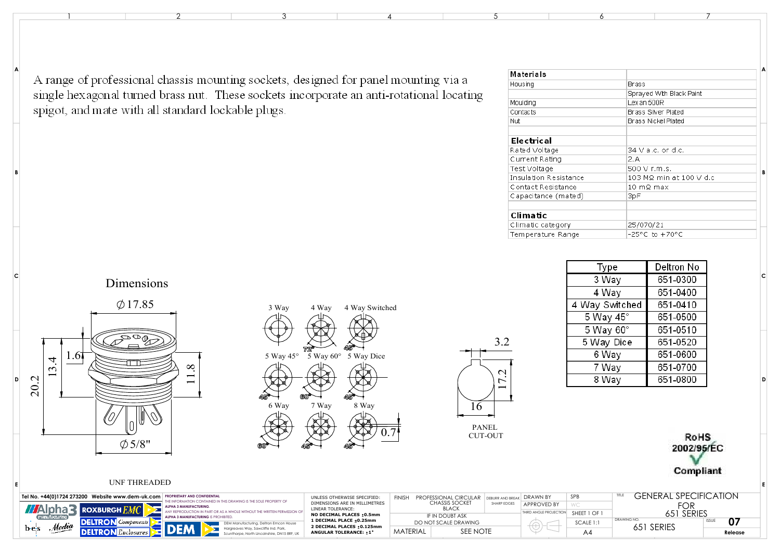A range of professional chassis mounting sockets, designed for panel mounting via a single hexagonal turned brass nut. These sockets incorporate an anti-rotational locating spigot, and mate with all standard lockable plugs.

| Materials             |                                    | A |  |  |  |  |
|-----------------------|------------------------------------|---|--|--|--|--|
| Housing               | <b>Brass</b>                       |   |  |  |  |  |
|                       | Sprayed With Black Paint           |   |  |  |  |  |
| Moulding              | Lex an 500R<br>Brass Silver Plated |   |  |  |  |  |
| Contacts              |                                    |   |  |  |  |  |
| Nut                   | <b>Brass Nickel Plated</b>         |   |  |  |  |  |
| Electrical            |                                    |   |  |  |  |  |
| Rated Voltage         | 34 V a.c. or d.c.<br>2.A           |   |  |  |  |  |
| Current Rating        |                                    |   |  |  |  |  |
| Test Voltage          | 500 V r.m.s.                       | В |  |  |  |  |
| Insulation Resistance | 103 MΩ min at 100 V d.c            |   |  |  |  |  |
| Contact Resistance    | 10 mQ max                          |   |  |  |  |  |
| Capacitance (mated)   | 3pF                                |   |  |  |  |  |
| Climatic              |                                    |   |  |  |  |  |
| Climatic category     | 25/070/21                          |   |  |  |  |  |
| Temperature Range     | $-25^{\circ}$ C to $+70^{\circ}$ C |   |  |  |  |  |



Dimensions



**B**

**A**

**C**

**E**





| KOHS       |
|------------|
| 2002/95/EC |
|            |
|            |
| Compliant  |

**D**

**C**

**E**

## UNF THREADED

| Tel No. +44(0)1724 273200 Website www.dem-uk.com   PROPRIETARY AND CONFIDENTIAL                                                | UNLESS OTHERWISE SPECIFIED:                                                   | <b>FINISH</b> | PROFESSIONAL CIRCULAR                 | DEBURR AND RREAK | <b>DRAWN BY</b>                                           | SPB          | ;FNFR A I       | SPECIFICATION |
|--------------------------------------------------------------------------------------------------------------------------------|-------------------------------------------------------------------------------|---------------|---------------------------------------|------------------|-----------------------------------------------------------|--------------|-----------------|---------------|
| THE INFORMATION CONTAINED IN THIS DRAWING IS THE SOLE PROPERTY OF<br><b>ALPHA 3 MANUFACTURING.</b><br><b>ELROXBURGH RAYLES</b> | DIMENSIONS ARE IN MILLIMETRES<br>LINEAR TOLERANCE:                            |               | <b>CHASSIS SOCKET</b><br><b>BLACK</b> | SHARP EDGE:      | APPROVED BY                                               |              | $E \cap E$<br>◡ |               |
| It the written permission $\cap$<br>ALPHA 3 MANUFACTURING IS                                                                   | NO DECIMAL PLACES : 0.5mm                                                     |               | IF IN DOUBT ASK                       |                  | THIRD ANGLE PROJECTIC                                     | SHEET 1 OF 1 | 651 SERIES      |               |
| : turina. Deltron Emcon House<br>. Media                                                                                       | 1 DECIMAL PLACE ±0.25mm<br>DO NOT SCALE DRAWING<br>2 DECIMAL PLACES : 0.125mm |               |                                       | SCALE 1:1        | 07<br><b>DRAWING NO</b><br><b>ISSUE</b><br>SERIE.<br>65 i |              |                 |               |
| b e s                                                                                                                          | <b>ANGULAR TOLERANCE: +1°</b>                                                 | MATERIAL      | SEE NOTE                              |                  |                                                           | A4           |                 | Release       |

 $\frac{1}{2}$  and  $\frac{3}{4}$  and  $\frac{5}{5}$  6